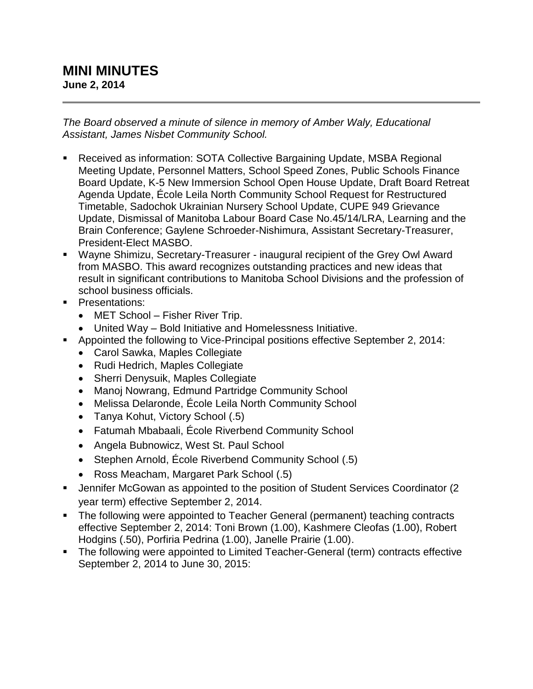## **MINI MINUTES June 2, 2014**

*The Board observed a minute of silence in memory of Amber Waly, Educational Assistant, James Nisbet Community School.*

- Received as information: SOTA Collective Bargaining Update, MSBA Regional Meeting Update, Personnel Matters, School Speed Zones, Public Schools Finance Board Update, K-5 New Immersion School Open House Update, Draft Board Retreat Agenda Update, École Leila North Community School Request for Restructured Timetable, Sadochok Ukrainian Nursery School Update, CUPE 949 Grievance Update, Dismissal of Manitoba Labour Board Case No.45/14/LRA, Learning and the Brain Conference; Gaylene Schroeder-Nishimura, Assistant Secretary-Treasurer, President-Elect MASBO.
- Wayne Shimizu, Secretary-Treasurer inaugural recipient of the Grey Owl Award from MASBO. This award recognizes outstanding practices and new ideas that result in significant contributions to Manitoba School Divisions and the profession of school business officials.
- **Presentations:** 
	- MET School Fisher River Trip.
	- United Way Bold Initiative and Homelessness Initiative.
- **Appointed the following to Vice-Principal positions effective September 2, 2014:** 
	- Carol Sawka, Maples Collegiate
	- Rudi Hedrich, Maples Collegiate
	- Sherri Denysuik, Maples Collegiate
	- Manoj Nowrang, Edmund Partridge Community School
	- Melissa Delaronde, École Leila North Community School
	- Tanya Kohut, Victory School (.5)
	- Fatumah Mbabaali, École Riverbend Community School
	- Angela Bubnowicz, West St. Paul School
	- Stephen Arnold, École Riverbend Community School (.5)
	- Ross Meacham, Margaret Park School (.5)
- Jennifer McGowan as appointed to the position of Student Services Coordinator (2 year term) effective September 2, 2014.
- The following were appointed to Teacher General (permanent) teaching contracts effective September 2, 2014: Toni Brown (1.00), Kashmere Cleofas (1.00), Robert Hodgins (.50), Porfiria Pedrina (1.00), Janelle Prairie (1.00).
- The following were appointed to Limited Teacher-General (term) contracts effective September 2, 2014 to June 30, 2015: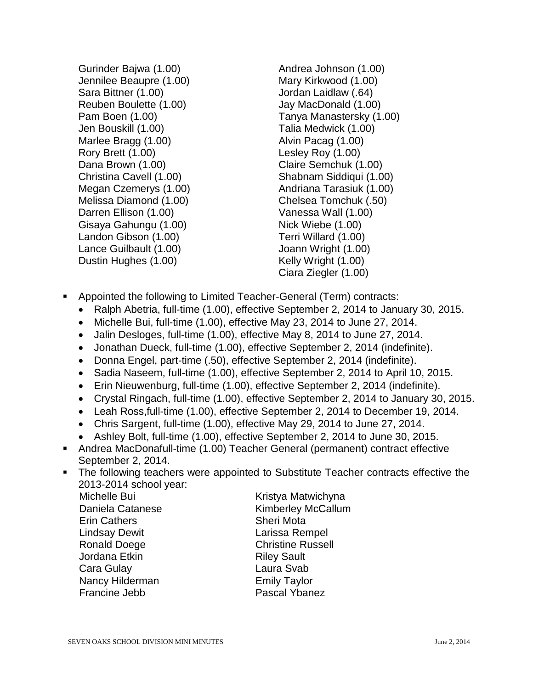Gurinder Bajwa (1.00) Jennilee Beaupre (1.00) Sara Bittner (1.00) Reuben Boulette (1.00) Pam Boen (1.00) Jen Bouskill (1.00) Marlee Bragg (1.00) Rory Brett (1.00) Dana Brown (1.00) Christina Cavell (1.00) Megan Czemerys (1.00) Melissa Diamond (1.00) Darren Ellison (1.00) Gisaya Gahungu (1.00) Landon Gibson (1.00) Lance Guilbault (1.00) Dustin Hughes (1.00)

- Andrea Johnson (1.00) Mary Kirkwood (1.00) Jordan Laidlaw (.64) Jay MacDonald (1.00) Tanya Manastersky (1.00) Talia Medwick (1.00) Alvin Pacag (1.00) Lesley Roy (1.00) Claire Semchuk (1.00) Shabnam Siddiqui (1.00) Andriana Tarasiuk (1.00) Chelsea Tomchuk (.50) Vanessa Wall (1.00) Nick Wiebe (1.00) Terri Willard (1.00) Joann Wright (1.00) Kelly Wright (1.00) Ciara Ziegler (1.00)
- Appointed the following to Limited Teacher-General (Term) contracts:
	- Ralph Abetria, full-time (1.00), effective September 2, 2014 to January 30, 2015.
	- Michelle Bui, full-time (1.00), effective May 23, 2014 to June 27, 2014.
	- Jalin Desloges, full-time (1.00), effective May 8, 2014 to June 27, 2014.
	- Jonathan Dueck, full-time (1.00), effective September 2, 2014 (indefinite).
	- Donna Engel, part-time (.50), effective September 2, 2014 (indefinite).
	- Sadia Naseem, full-time (1.00), effective September 2, 2014 to April 10, 2015.
	- Erin Nieuwenburg, full-time (1.00), effective September 2, 2014 (indefinite).
	- Crystal Ringach, full-time (1.00), effective September 2, 2014 to January 30, 2015.
	- Leah Ross,full-time (1.00), effective September 2, 2014 to December 19, 2014.
	- Chris Sargent, full-time (1.00), effective May 29, 2014 to June 27, 2014.
	- Ashley Bolt, full-time (1.00), effective September 2, 2014 to June 30, 2015.
- Andrea MacDonafull-time (1.00) Teacher General (permanent) contract effective September 2, 2014.
- **The following teachers were appointed to Substitute Teacher contracts effective the** 2013-2014 school year:

Michelle Bui **Kristya Matwichyna Erin Cathers** Sheri Mota Lindsay Dewit Larissa Rempel Ronald Doege **Christine Russell** Jordana Etkin **Riley Sault** Cara Gulay Laura Svab Nancy Hilderman **Emily Taylor** Francine Jebb Pascal Ybanez

Daniela Catanese Kimberley McCallum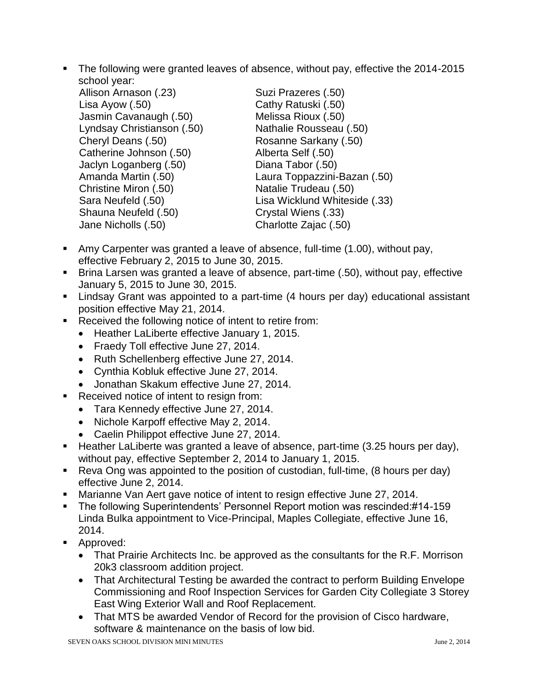The following were granted leaves of absence, without pay, effective the 2014-2015 school year:

| <b>JUIUUI YUUI.</b>        |                               |
|----------------------------|-------------------------------|
| Allison Arnason (.23)      | Suzi Prazeres (.50)           |
| Lisa Ayow $(.50)$          | Cathy Ratuski (.50)           |
| Jasmin Cavanaugh (.50)     | Melissa Rioux (.50)           |
| Lyndsay Christianson (.50) | Nathalie Rousseau (.50)       |
| Cheryl Deans (.50)         | Rosanne Sarkany (.50)         |
| Catherine Johnson (.50)    | Alberta Self (.50)            |
| Jaclyn Loganberg (.50)     | Diana Tabor (.50)             |
| Amanda Martin (.50)        | Laura Toppazzini-Bazan (.50)  |
| Christine Miron (.50)      | Natalie Trudeau (.50)         |
| Sara Neufeld (.50)         | Lisa Wicklund Whiteside (.33) |
| Shauna Neufeld (.50)       | Crystal Wiens (.33)           |
| Jane Nicholls (.50)        | Charlotte Zajac (.50)         |
|                            |                               |

- Amy Carpenter was granted a leave of absence, full-time (1.00), without pay, effective February 2, 2015 to June 30, 2015.
- Brina Larsen was granted a leave of absence, part-time (.50), without pay, effective January 5, 2015 to June 30, 2015.
- Lindsay Grant was appointed to a part-time (4 hours per day) educational assistant position effective May 21, 2014.
- Received the following notice of intent to retire from:
	- Heather LaLiberte effective January 1, 2015.
	- Fraedy Toll effective June 27, 2014.
	- Ruth Schellenberg effective June 27, 2014.
	- Cynthia Kobluk effective June 27, 2014.
	- Jonathan Skakum effective June 27, 2014.
- Received notice of intent to resign from:
	- Tara Kennedy effective June 27, 2014.
	- Nichole Karpoff effective May 2, 2014.
	- Caelin Philippot effective June 27, 2014.
- Heather LaLiberte was granted a leave of absence, part-time (3.25 hours per day), without pay, effective September 2, 2014 to January 1, 2015.
- Reva Ong was appointed to the position of custodian, full-time, (8 hours per day) effective June 2, 2014.
- **Marianne Van Aert gave notice of intent to resign effective June 27, 2014.**
- The following Superintendents' Personnel Report motion was rescinded:#14-159 Linda Bulka appointment to Vice-Principal, Maples Collegiate, effective June 16, 2014.
- **Approved:** 
	- That Prairie Architects Inc. be approved as the consultants for the R.F. Morrison 20k3 classroom addition project.
	- That Architectural Testing be awarded the contract to perform Building Envelope Commissioning and Roof Inspection Services for Garden City Collegiate 3 Storey East Wing Exterior Wall and Roof Replacement.
	- That MTS be awarded Vendor of Record for the provision of Cisco hardware, software & maintenance on the basis of low bid.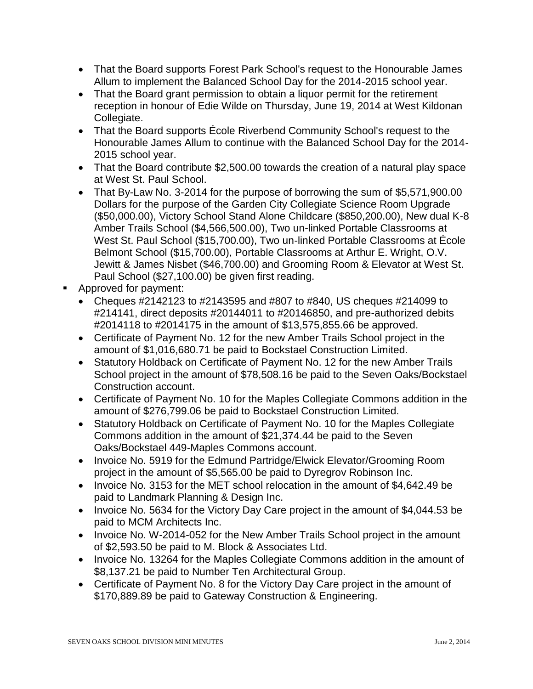- That the Board supports Forest Park School's request to the Honourable James Allum to implement the Balanced School Day for the 2014-2015 school year.
- That the Board grant permission to obtain a liquor permit for the retirement reception in honour of Edie Wilde on Thursday, June 19, 2014 at West Kildonan Collegiate.
- That the Board supports École Riverbend Community School's request to the Honourable James Allum to continue with the Balanced School Day for the 2014- 2015 school year.
- That the Board contribute \$2,500.00 towards the creation of a natural play space at West St. Paul School.
- That By-Law No. 3-2014 for the purpose of borrowing the sum of \$5,571,900.00 Dollars for the purpose of the Garden City Collegiate Science Room Upgrade (\$50,000.00), Victory School Stand Alone Childcare (\$850,200.00), New dual K-8 Amber Trails School (\$4,566,500.00), Two un-linked Portable Classrooms at West St. Paul School (\$15,700.00), Two un-linked Portable Classrooms at École Belmont School (\$15,700.00), Portable Classrooms at Arthur E. Wright, O.V. Jewitt & James Nisbet (\$46,700.00) and Grooming Room & Elevator at West St. Paul School (\$27,100.00) be given first reading.
- **Approved for payment:** 
	- Cheques  $\#2142123$  to  $\#2143595$  and  $\#807$  to  $\#840$ , US cheques  $\#214099$  to #214141, direct deposits #20144011 to #20146850, and pre-authorized debits #2014118 to #2014175 in the amount of \$13,575,855.66 be approved.
	- Certificate of Payment No. 12 for the new Amber Trails School project in the amount of \$1,016,680.71 be paid to Bockstael Construction Limited.
	- Statutory Holdback on Certificate of Payment No. 12 for the new Amber Trails School project in the amount of \$78,508.16 be paid to the Seven Oaks/Bockstael Construction account.
	- Certificate of Payment No. 10 for the Maples Collegiate Commons addition in the amount of \$276,799.06 be paid to Bockstael Construction Limited.
	- Statutory Holdback on Certificate of Payment No. 10 for the Maples Collegiate Commons addition in the amount of \$21,374.44 be paid to the Seven Oaks/Bockstael 449-Maples Commons account.
	- Invoice No. 5919 for the Edmund Partridge/Elwick Elevator/Grooming Room project in the amount of \$5,565.00 be paid to Dyregrov Robinson Inc.
	- Invoice No. 3153 for the MET school relocation in the amount of \$4,642.49 be paid to Landmark Planning & Design Inc.
	- Invoice No. 5634 for the Victory Day Care project in the amount of \$4,044.53 be paid to MCM Architects Inc.
	- Invoice No. W-2014-052 for the New Amber Trails School project in the amount of \$2,593.50 be paid to M. Block & Associates Ltd.
	- Invoice No. 13264 for the Maples Collegiate Commons addition in the amount of \$8,137.21 be paid to Number Ten Architectural Group.
	- Certificate of Payment No. 8 for the Victory Day Care project in the amount of \$170,889.89 be paid to Gateway Construction & Engineering.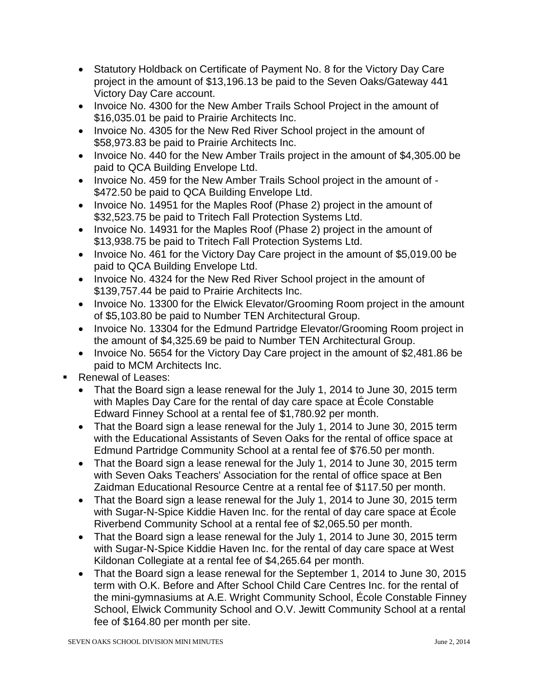- Statutory Holdback on Certificate of Payment No. 8 for the Victory Day Care project in the amount of \$13,196.13 be paid to the Seven Oaks/Gateway 441 Victory Day Care account.
- Invoice No. 4300 for the New Amber Trails School Project in the amount of \$16,035.01 be paid to Prairie Architects Inc.
- Invoice No. 4305 for the New Red River School project in the amount of \$58,973.83 be paid to Prairie Architects Inc.
- Invoice No. 440 for the New Amber Trails project in the amount of \$4,305.00 be paid to QCA Building Envelope Ltd.
- Invoice No. 459 for the New Amber Trails School project in the amount of -\$472.50 be paid to QCA Building Envelope Ltd.
- Invoice No. 14951 for the Maples Roof (Phase 2) project in the amount of \$32,523.75 be paid to Tritech Fall Protection Systems Ltd.
- Invoice No. 14931 for the Maples Roof (Phase 2) project in the amount of \$13,938.75 be paid to Tritech Fall Protection Systems Ltd.
- Invoice No. 461 for the Victory Day Care project in the amount of \$5,019.00 be paid to QCA Building Envelope Ltd.
- Invoice No. 4324 for the New Red River School project in the amount of \$139,757.44 be paid to Prairie Architects Inc.
- Invoice No. 13300 for the Elwick Elevator/Grooming Room project in the amount of \$5,103.80 be paid to Number TEN Architectural Group.
- Invoice No. 13304 for the Edmund Partridge Elevator/Grooming Room project in the amount of \$4,325.69 be paid to Number TEN Architectural Group.
- Invoice No. 5654 for the Victory Day Care project in the amount of \$2,481.86 be paid to MCM Architects Inc.
- Renewal of Leases:
	- That the Board sign a lease renewal for the July 1, 2014 to June 30, 2015 term with Maples Day Care for the rental of day care space at École Constable Edward Finney School at a rental fee of \$1,780.92 per month.
	- That the Board sign a lease renewal for the July 1, 2014 to June 30, 2015 term with the Educational Assistants of Seven Oaks for the rental of office space at Edmund Partridge Community School at a rental fee of \$76.50 per month.
	- That the Board sign a lease renewal for the July 1, 2014 to June 30, 2015 term with Seven Oaks Teachers' Association for the rental of office space at Ben Zaidman Educational Resource Centre at a rental fee of \$117.50 per month.
	- That the Board sign a lease renewal for the July 1, 2014 to June 30, 2015 term with Sugar-N-Spice Kiddie Haven Inc. for the rental of day care space at École Riverbend Community School at a rental fee of \$2,065.50 per month.
	- That the Board sign a lease renewal for the July 1, 2014 to June 30, 2015 term with Sugar-N-Spice Kiddie Haven Inc. for the rental of day care space at West Kildonan Collegiate at a rental fee of \$4,265.64 per month.
	- That the Board sign a lease renewal for the September 1, 2014 to June 30, 2015 term with O.K. Before and After School Child Care Centres Inc. for the rental of the mini-gymnasiums at A.E. Wright Community School, École Constable Finney School, Elwick Community School and O.V. Jewitt Community School at a rental fee of \$164.80 per month per site.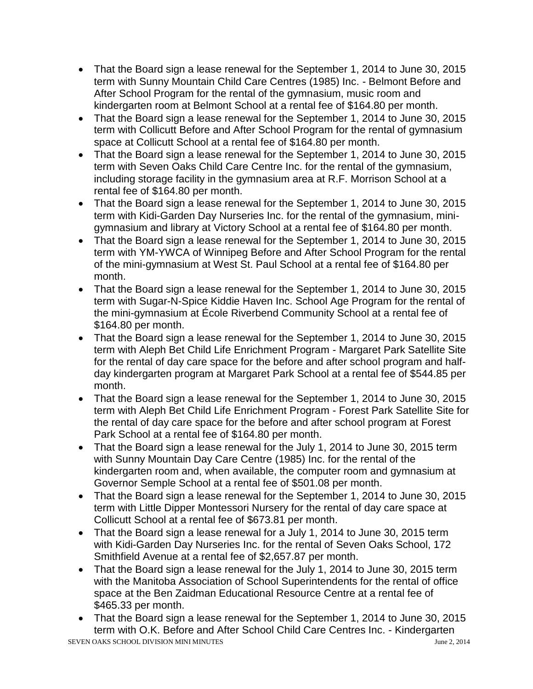- That the Board sign a lease renewal for the September 1, 2014 to June 30, 2015 term with Sunny Mountain Child Care Centres (1985) Inc. - Belmont Before and After School Program for the rental of the gymnasium, music room and kindergarten room at Belmont School at a rental fee of \$164.80 per month.
- That the Board sign a lease renewal for the September 1, 2014 to June 30, 2015 term with Collicutt Before and After School Program for the rental of gymnasium space at Collicutt School at a rental fee of \$164.80 per month.
- That the Board sign a lease renewal for the September 1, 2014 to June 30, 2015 term with Seven Oaks Child Care Centre Inc. for the rental of the gymnasium, including storage facility in the gymnasium area at R.F. Morrison School at a rental fee of \$164.80 per month.
- That the Board sign a lease renewal for the September 1, 2014 to June 30, 2015 term with Kidi-Garden Day Nurseries Inc. for the rental of the gymnasium, minigymnasium and library at Victory School at a rental fee of \$164.80 per month.
- That the Board sign a lease renewal for the September 1, 2014 to June 30, 2015 term with YM-YWCA of Winnipeg Before and After School Program for the rental of the mini-gymnasium at West St. Paul School at a rental fee of \$164.80 per month.
- That the Board sign a lease renewal for the September 1, 2014 to June 30, 2015 term with Sugar-N-Spice Kiddie Haven Inc. School Age Program for the rental of the mini-gymnasium at École Riverbend Community School at a rental fee of \$164.80 per month.
- That the Board sign a lease renewal for the September 1, 2014 to June 30, 2015 term with Aleph Bet Child Life Enrichment Program - Margaret Park Satellite Site for the rental of day care space for the before and after school program and halfday kindergarten program at Margaret Park School at a rental fee of \$544.85 per month.
- That the Board sign a lease renewal for the September 1, 2014 to June 30, 2015 term with Aleph Bet Child Life Enrichment Program - Forest Park Satellite Site for the rental of day care space for the before and after school program at Forest Park School at a rental fee of \$164.80 per month.
- That the Board sign a lease renewal for the July 1, 2014 to June 30, 2015 term with Sunny Mountain Day Care Centre (1985) Inc. for the rental of the kindergarten room and, when available, the computer room and gymnasium at Governor Semple School at a rental fee of \$501.08 per month.
- That the Board sign a lease renewal for the September 1, 2014 to June 30, 2015 term with Little Dipper Montessori Nursery for the rental of day care space at Collicutt School at a rental fee of \$673.81 per month.
- That the Board sign a lease renewal for a July 1, 2014 to June 30, 2015 term with Kidi-Garden Day Nurseries Inc. for the rental of Seven Oaks School, 172 Smithfield Avenue at a rental fee of \$2,657.87 per month.
- That the Board sign a lease renewal for the July 1, 2014 to June 30, 2015 term with the Manitoba Association of School Superintendents for the rental of office space at the Ben Zaidman Educational Resource Centre at a rental fee of \$465.33 per month.
- That the Board sign a lease renewal for the September 1, 2014 to June 30, 2015 term with O.K. Before and After School Child Care Centres Inc. - Kindergarten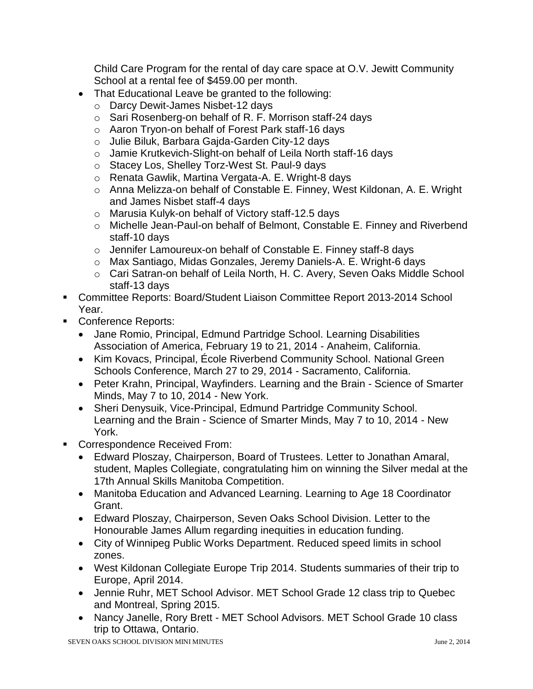Child Care Program for the rental of day care space at O.V. Jewitt Community School at a rental fee of \$459.00 per month.

- That Educational Leave be granted to the following:
	- o Darcy Dewit-James Nisbet-12 days
	- o Sari Rosenberg-on behalf of R. F. Morrison staff-24 days
	- o Aaron Tryon-on behalf of Forest Park staff-16 days
	- o Julie Biluk, Barbara Gajda-Garden City-12 days
	- o Jamie Krutkevich-Slight-on behalf of Leila North staff-16 days
	- o Stacey Los, Shelley Torz-West St. Paul-9 days
	- o Renata Gawlik, Martina Vergata-A. E. Wright-8 days
	- o Anna Melizza-on behalf of Constable E. Finney, West Kildonan, A. E. Wright and James Nisbet staff-4 days
	- o Marusia Kulyk-on behalf of Victory staff-12.5 days
	- o Michelle Jean-Paul-on behalf of Belmont, Constable E. Finney and Riverbend staff-10 days
	- o Jennifer Lamoureux-on behalf of Constable E. Finney staff-8 days
	- o Max Santiago, Midas Gonzales, Jeremy Daniels-A. E. Wright-6 days
	- o Cari Satran-on behalf of Leila North, H. C. Avery, Seven Oaks Middle School staff-13 days
- Committee Reports: Board/Student Liaison Committee Report 2013-2014 School Year.
- Conference Reports:
	- Jane Romio, Principal, Edmund Partridge School. Learning Disabilities Association of America, February 19 to 21, 2014 - Anaheim, California.
	- Kim Kovacs, Principal, École Riverbend Community School. National Green Schools Conference, March 27 to 29, 2014 - Sacramento, California.
	- Peter Krahn, Principal, Wayfinders. Learning and the Brain Science of Smarter Minds, May 7 to 10, 2014 - New York.
	- Sheri Denysuik, Vice-Principal, Edmund Partridge Community School. Learning and the Brain - Science of Smarter Minds, May 7 to 10, 2014 - New York.
- **Correspondence Received From:** 
	- Edward Ploszay, Chairperson, Board of Trustees. Letter to Jonathan Amaral, student, Maples Collegiate, congratulating him on winning the Silver medal at the 17th Annual Skills Manitoba Competition.
	- Manitoba Education and Advanced Learning. Learning to Age 18 Coordinator Grant.
	- Edward Ploszay, Chairperson, Seven Oaks School Division. Letter to the Honourable James Allum regarding inequities in education funding.
	- City of Winnipeg Public Works Department. Reduced speed limits in school zones.
	- West Kildonan Collegiate Europe Trip 2014. Students summaries of their trip to Europe, April 2014.
	- Jennie Ruhr, MET School Advisor. MET School Grade 12 class trip to Quebec and Montreal, Spring 2015.
	- Nancy Janelle, Rory Brett MET School Advisors. MET School Grade 10 class trip to Ottawa, Ontario.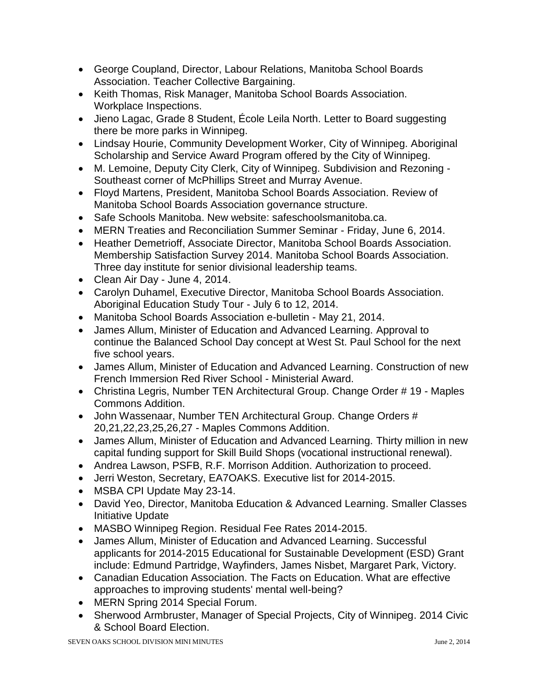- George Coupland, Director, Labour Relations, Manitoba School Boards Association. Teacher Collective Bargaining.
- Keith Thomas, Risk Manager, Manitoba School Boards Association. Workplace Inspections.
- Jieno Lagac, Grade 8 Student, École Leila North. Letter to Board suggesting there be more parks in Winnipeg.
- Lindsay Hourie, Community Development Worker, City of Winnipeg. Aboriginal Scholarship and Service Award Program offered by the City of Winnipeg.
- M. Lemoine, Deputy City Clerk, City of Winnipeg. Subdivision and Rezoning Southeast corner of McPhillips Street and Murray Avenue.
- Floyd Martens, President, Manitoba School Boards Association. Review of Manitoba School Boards Association governance structure.
- Safe Schools Manitoba. New website: safeschoolsmanitoba.ca.
- MERN Treaties and Reconciliation Summer Seminar Friday, June 6, 2014.
- Heather Demetrioff, Associate Director, Manitoba School Boards Association. Membership Satisfaction Survey 2014. Manitoba School Boards Association. Three day institute for senior divisional leadership teams.
- Clean Air Day June 4, 2014.
- Carolyn Duhamel, Executive Director, Manitoba School Boards Association. Aboriginal Education Study Tour - July 6 to 12, 2014.
- Manitoba School Boards Association e-bulletin May 21, 2014.
- James Allum, Minister of Education and Advanced Learning. Approval to continue the Balanced School Day concept at West St. Paul School for the next five school years.
- James Allum, Minister of Education and Advanced Learning. Construction of new French Immersion Red River School - Ministerial Award.
- Christina Legris, Number TEN Architectural Group. Change Order # 19 Maples Commons Addition.
- John Wassenaar, Number TEN Architectural Group. Change Orders # 20,21,22,23,25,26,27 - Maples Commons Addition.
- James Allum, Minister of Education and Advanced Learning. Thirty million in new capital funding support for Skill Build Shops (vocational instructional renewal).
- Andrea Lawson, PSFB, R.F. Morrison Addition. Authorization to proceed.
- Jerri Weston, Secretary, EA7OAKS. Executive list for 2014-2015.
- MSBA CPI Update May 23-14.
- David Yeo, Director, Manitoba Education & Advanced Learning. Smaller Classes Initiative Update
- MASBO Winnipeg Region. Residual Fee Rates 2014-2015.
- James Allum, Minister of Education and Advanced Learning. Successful applicants for 2014-2015 Educational for Sustainable Development (ESD) Grant include: Edmund Partridge, Wayfinders, James Nisbet, Margaret Park, Victory.
- Canadian Education Association. The Facts on Education. What are effective approaches to improving students' mental well-being?
- MERN Spring 2014 Special Forum.
- Sherwood Armbruster, Manager of Special Projects, City of Winnipeg. 2014 Civic & School Board Election.